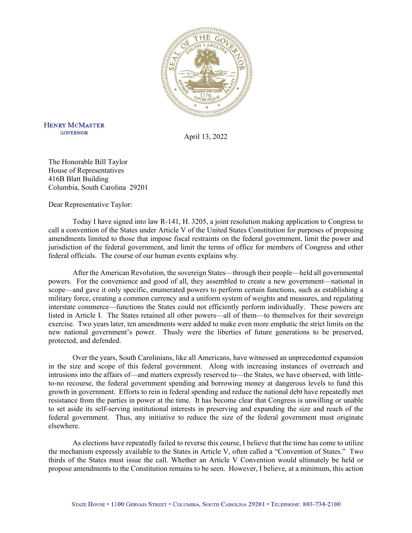

**HENRY MCMASTER GOVERNOR** 

April 13, 2022

The Honorable Bill Taylor House of Representatives 416B Blatt Building Columbia, South Carolina 29201

Dear Representative Taylor:

Today I have signed into law R-141, H. 3205, a joint resolution making application to Congress to call a convention of the States under Article V of the United States Constitution for purposes of proposing amendments limited to those that impose fiscal restraints on the federal government, limit the power and jurisdiction of the federal government, and limit the terms of office for members of Congress and other federal officials. The course of our human events explains why.

After the American Revolution, the sovereign States—through their people—held all governmental powers. For the convenience and good of all, they assembled to create a new government—national in scope—and gave it only specific, enumerated powers to perform certain functions, such as establishing a military force, creating a common currency and a uniform system of weights and measures, and regulating interstate commerce—functions the States could not efficiently perform individually. These powers are listed in Article I. The States retained all other powers—all of them—to themselves for their sovereign exercise. Two years later, ten amendments were added to make even more emphatic the strict limits on the new national government's power. Thusly were the liberties of future generations to be preserved, protected, and defended.

Over the years, South Carolinians, like all Americans, have witnessed an unprecedented expansion in the size and scope of this federal government. Along with increasing instances of overreach and intrusions into the affairs of—and matters expressly reserved to—the States, we have observed, with littleto-no recourse, the federal government spending and borrowing money at dangerous levels to fund this growth in government. Efforts to rein in federal spending and reduce the national debt have repeatedly met resistance from the parties in power at the time. It has become clear that Congress is unwilling or unable to set aside its self-serving institutional interests in preserving and expanding the size and reach of the federal government. Thus, any initiative to reduce the size of the federal government must originate elsewhere.

As elections have repeatedly failed to reverse this course, I believe that the time has come to utilize the mechanism expressly available to the States in Article V, often called a "Convention of States." Two thirds of the States must issue the call. Whether an Article V Convention would ultimately be held or propose amendments to the Constitution remains to be seen. However, I believe, at a minimum, this action